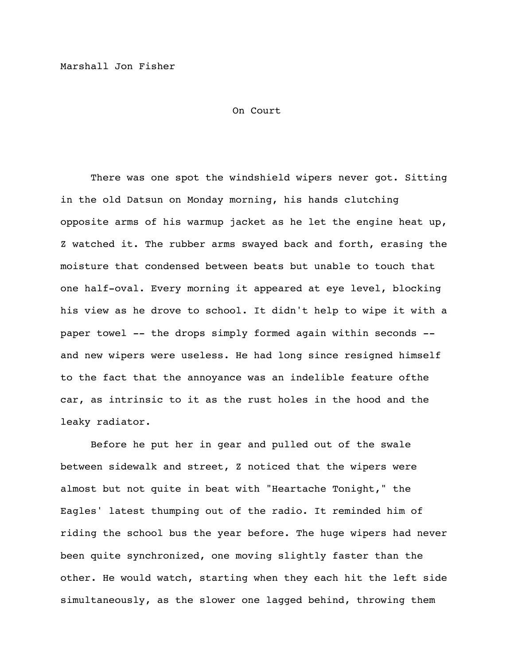On Court

There was one spot the windshield wipers never got. Sitting in the old Datsun on Monday morning, his hands clutching opposite arms of his warmup jacket as he let the engine heat up, Z watched it. The rubber arms swayed back and forth, erasing the moisture that condensed between beats but unable to touch that one half-oval. Every morning it appeared at eye level, blocking his view as he drove to school. It didn't help to wipe it with a paper towel -- the drops simply formed again within seconds - and new wipers were useless. He had long since resigned himself to the fact that the annoyance was an indelible feature ofthe car, as intrinsic to it as the rust holes in the hood and the leaky radiator.

Before he put her in gear and pulled out of the swale between sidewalk and street, Z noticed that the wipers were almost but not quite in beat with "Heartache Tonight," the Eagles' latest thumping out of the radio. It reminded him of riding the school bus the year before. The huge wipers had never been quite synchronized, one moving slightly faster than the other. He would watch, starting when they each hit the left side simultaneously, as the slower one lagged behind, throwing them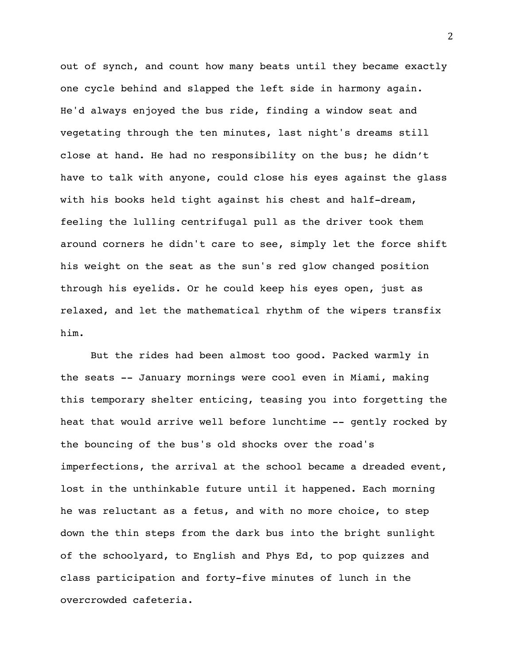out of synch, and count how many beats until they became exactly one cycle behind and slapped the left side in harmony again. He'd always enjoyed the bus ride, finding a window seat and vegetating through the ten minutes, last night's dreams still close at hand. He had no responsibility on the bus; he didn't have to talk with anyone, could close his eyes against the glass with his books held tight against his chest and half-dream, feeling the lulling centrifugal pull as the driver took them around corners he didn't care to see, simply let the force shift his weight on the seat as the sun's red glow changed position through his eyelids. Or he could keep his eyes open, just as relaxed, and let the mathematical rhythm of the wipers transfix him.

But the rides had been almost too good. Packed warmly in the seats -- January mornings were cool even in Miami, making this temporary shelter enticing, teasing you into forgetting the heat that would arrive well before lunchtime -- gently rocked by the bouncing of the bus's old shocks over the road's imperfections, the arrival at the school became a dreaded event, lost in the unthinkable future until it happened. Each morning he was reluctant as a fetus, and with no more choice, to step down the thin steps from the dark bus into the bright sunlight of the schoolyard, to English and Phys Ed, to pop quizzes and class participation and forty-five minutes of lunch in the overcrowded cafeteria.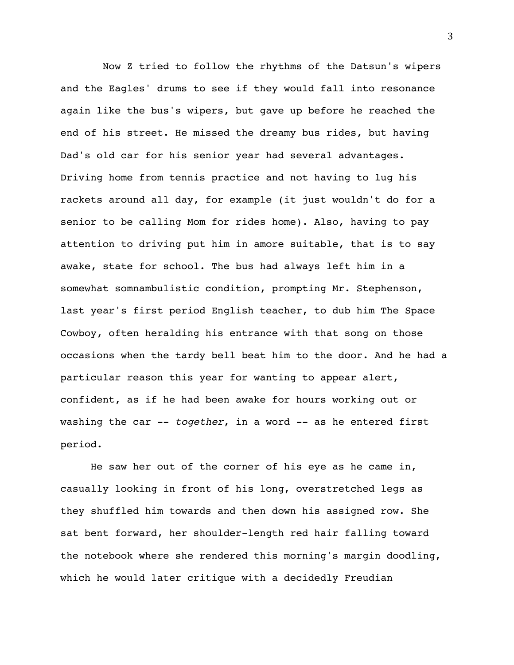Now Z tried to follow the rhythms of the Datsun's wipers and the Eagles' drums to see if they would fall into resonance again like the bus's wipers, but gave up before he reached the end of his street. He missed the dreamy bus rides, but having Dad's old car for his senior year had several advantages. Driving home from tennis practice and not having to lug his rackets around all day, for example (it just wouldn't do for a senior to be calling Mom for rides home). Also, having to pay attention to driving put him in amore suitable, that is to say awake, state for school. The bus had always left him in a somewhat somnambulistic condition, prompting Mr. Stephenson, last year's first period English teacher, to dub him The Space Cowboy, often heralding his entrance with that song on those occasions when the tardy bell beat him to the door. And he had a particular reason this year for wanting to appear alert, confident, as if he had been awake for hours working out or washing the car -- *together*, in a word -- as he entered first period.

He saw her out of the corner of his eye as he came in, casually looking in front of his long, overstretched legs as they shuffled him towards and then down his assigned row. She sat bent forward, her shoulder-length red hair falling toward the notebook where she rendered this morning's margin doodling, which he would later critique with a decidedly Freudian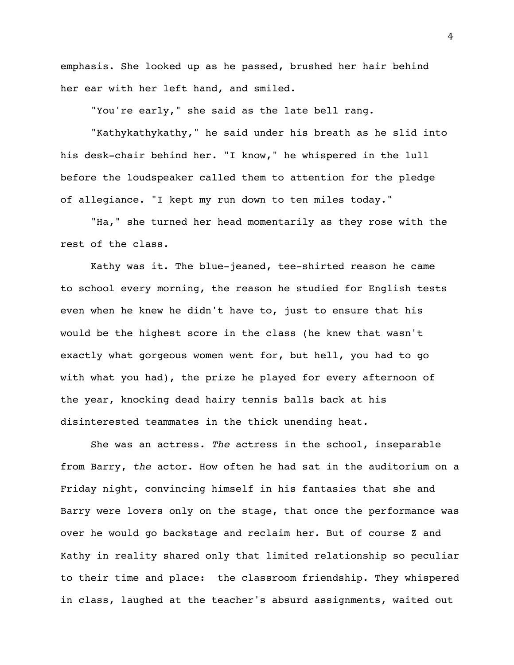emphasis. She looked up as he passed, brushed her hair behind her ear with her left hand, and smiled.

"You're early," she said as the late bell rang.

"Kathykathykathy," he said under his breath as he slid into his desk-chair behind her. "I know," he whispered in the lull before the loudspeaker called them to attention for the pledge of allegiance. "I kept my run down to ten miles today."

"Ha," she turned her head momentarily as they rose with the rest of the class.

Kathy was it. The blue-jeaned, tee-shirted reason he came to school every morning, the reason he studied for English tests even when he knew he didn't have to, just to ensure that his would be the highest score in the class (he knew that wasn't exactly what gorgeous women went for, but hell, you had to go with what you had), the prize he played for every afternoon of the year, knocking dead hairy tennis balls back at his disinterested teammates in the thick unending heat.

She was an actress. *The* actress in the school, inseparable from Barry, *the* actor. How often he had sat in the auditorium on a Friday night, convincing himself in his fantasies that she and Barry were lovers only on the stage, that once the performance was over he would go backstage and reclaim her. But of course Z and Kathy in reality shared only that limited relationship so peculiar to their time and place: the classroom friendship. They whispered in class, laughed at the teacher's absurd assignments, waited out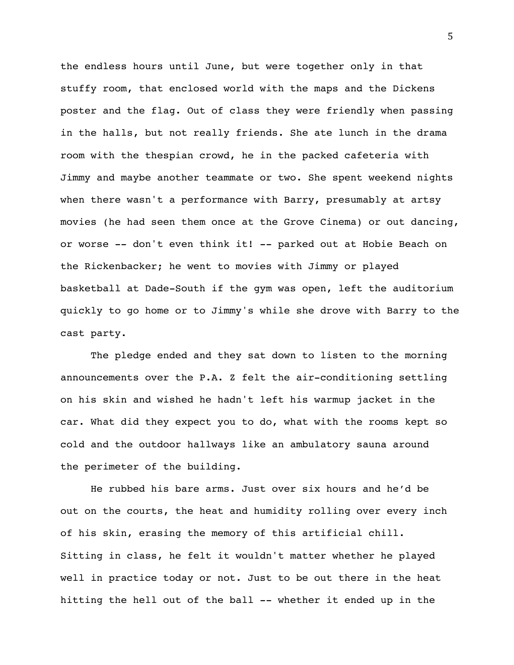the endless hours until June, but were together only in that stuffy room, that enclosed world with the maps and the Dickens poster and the flag. Out of class they were friendly when passing in the halls, but not really friends. She ate lunch in the drama room with the thespian crowd, he in the packed cafeteria with Jimmy and maybe another teammate or two. She spent weekend nights when there wasn't a performance with Barry, presumably at artsy movies (he had seen them once at the Grove Cinema) or out dancing, or worse -- don't even think it! -- parked out at Hobie Beach on the Rickenbacker; he went to movies with Jimmy or played basketball at Dade-South if the gym was open, left the auditorium quickly to go home or to Jimmy's while she drove with Barry to the cast party.

The pledge ended and they sat down to listen to the morning announcements over the P.A. Z felt the air-conditioning settling on his skin and wished he hadn't left his warmup jacket in the car. What did they expect you to do, what with the rooms kept so cold and the outdoor hallways like an ambulatory sauna around the perimeter of the building.

He rubbed his bare arms. Just over six hours and he'd be out on the courts, the heat and humidity rolling over every inch of his skin, erasing the memory of this artificial chill. Sitting in class, he felt it wouldn't matter whether he played well in practice today or not. Just to be out there in the heat hitting the hell out of the ball -- whether it ended up in the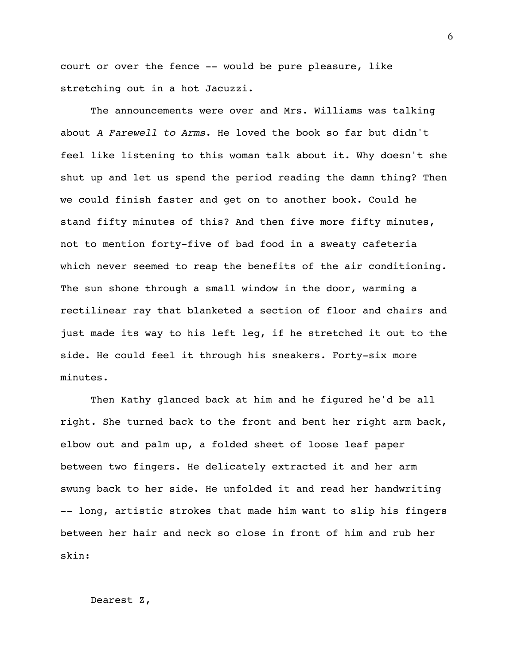court or over the fence -- would be pure pleasure, like stretching out in a hot Jacuzzi.

The announcements were over and Mrs. Williams was talking about *A Farewell to Arms*. He loved the book so far but didn't feel like listening to this woman talk about it. Why doesn't she shut up and let us spend the period reading the damn thing? Then we could finish faster and get on to another book. Could he stand fifty minutes of this? And then five more fifty minutes, not to mention forty-five of bad food in a sweaty cafeteria which never seemed to reap the benefits of the air conditioning. The sun shone through a small window in the door, warming a rectilinear ray that blanketed a section of floor and chairs and just made its way to his left leg, if he stretched it out to the side. He could feel it through his sneakers. Forty-six more minutes.

Then Kathy glanced back at him and he figured he'd be all right. She turned back to the front and bent her right arm back, elbow out and palm up, a folded sheet of loose leaf paper between two fingers. He delicately extracted it and her arm swung back to her side. He unfolded it and read her handwriting -- long, artistic strokes that made him want to slip his fingers between her hair and neck so close in front of him and rub her skin:

Dearest Z,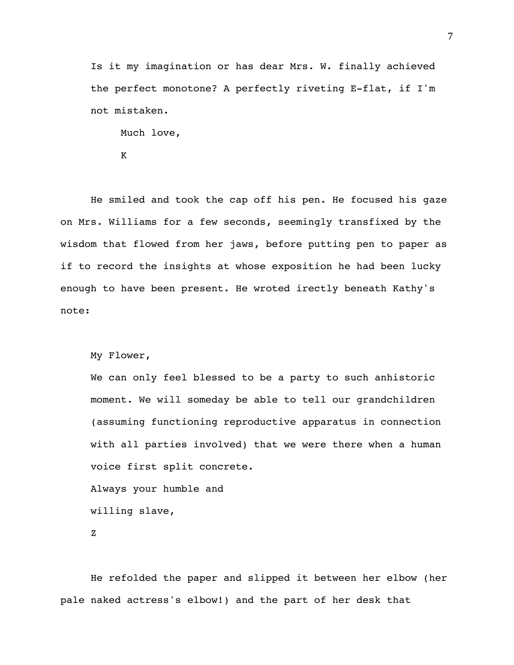Is it my imagination or has dear Mrs. W. finally achieved the perfect monotone? A perfectly riveting E-flat, if I'm not mistaken.

Much love,

K

He smiled and took the cap off his pen. He focused his gaze on Mrs. Williams for a few seconds, seemingly transfixed by the wisdom that flowed from her jaws, before putting pen to paper as if to record the insights at whose exposition he had been lucky enough to have been present. He wroted irectly beneath Kathy's note:

My Flower,

We can only feel blessed to be a party to such anhistoric moment. We will someday be able to tell our grandchildren (assuming functioning reproductive apparatus in connection with all parties involved) that we were there when a human voice first split concrete. Always your humble and

willing slave,

Z

He refolded the paper and slipped it between her elbow (her pale naked actress's elbow!) and the part of her desk that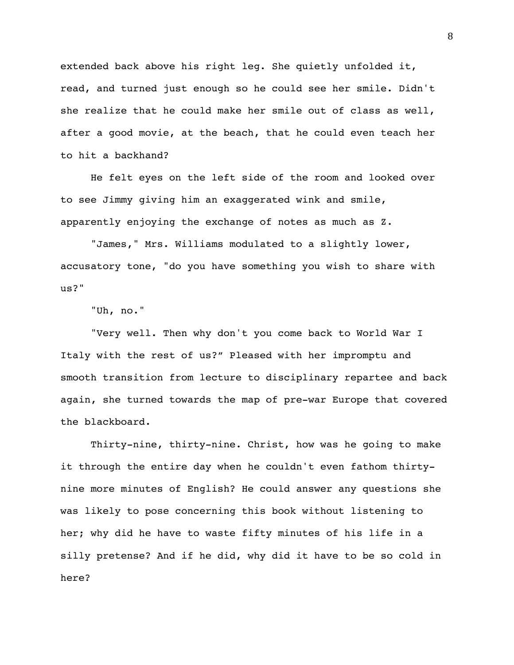extended back above his right leg. She quietly unfolded it, read, and turned just enough so he could see her smile. Didn't she realize that he could make her smile out of class as well, after a good movie, at the beach, that he could even teach her to hit a backhand?

He felt eyes on the left side of the room and looked over to see Jimmy giving him an exaggerated wink and smile, apparently enjoying the exchange of notes as much as Z.

"James," Mrs. Williams modulated to a slightly lower, accusatory tone, "do you have something you wish to share with us?"

"Uh, no."

"Very well. Then why don't you come back to World War I Italy with the rest of us?" Pleased with her impromptu and smooth transition from lecture to disciplinary repartee and back again, she turned towards the map of pre-war Europe that covered the blackboard.

Thirty-nine, thirty-nine. Christ, how was he going to make it through the entire day when he couldn't even fathom thirtynine more minutes of English? He could answer any questions she was likely to pose concerning this book without listening to her; why did he have to waste fifty minutes of his life in a silly pretense? And if he did, why did it have to be so cold in here?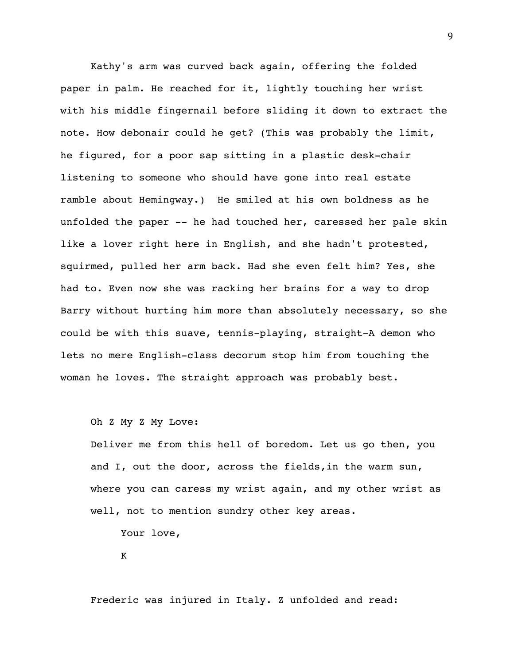Kathy's arm was curved back again, offering the folded paper in palm. He reached for it, lightly touching her wrist with his middle fingernail before sliding it down to extract the note. How debonair could he get? (This was probably the limit, he figured, for a poor sap sitting in a plastic desk-chair listening to someone who should have gone into real estate ramble about Hemingway.) He smiled at his own boldness as he unfolded the paper -- he had touched her, caressed her pale skin like a lover right here in English, and she hadn't protested, squirmed, pulled her arm back. Had she even felt him? Yes, she had to. Even now she was racking her brains for a way to drop Barry without hurting him more than absolutely necessary, so she could be with this suave, tennis-playing, straight-A demon who lets no mere English-class decorum stop him from touching the woman he loves. The straight approach was probably best.

Oh Z My Z My Love:

Deliver me from this hell of boredom. Let us go then, you and I, out the door, across the fields,in the warm sun, where you can caress my wrist again, and my other wrist as well, not to mention sundry other key areas.

Your love,

K

Frederic was injured in Italy. Z unfolded and read: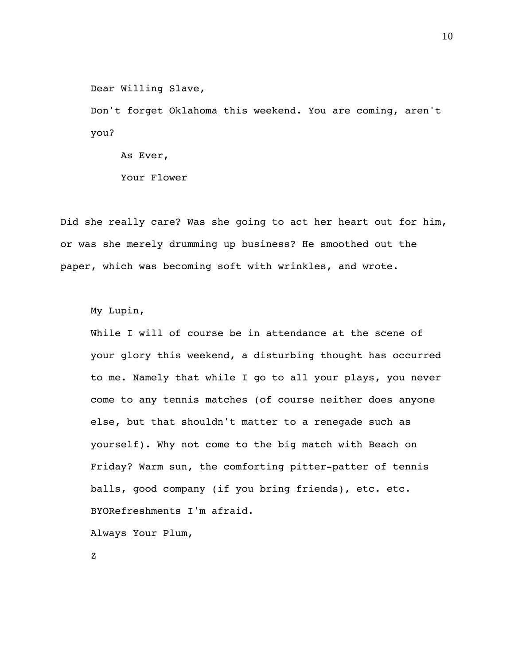Dear Willing Slave,

Don't forget Oklahoma this weekend. You are coming, aren't you?

As Ever, Your Flower

Did she really care? Was she going to act her heart out for him, or was she merely drumming up business? He smoothed out the paper, which was becoming soft with wrinkles, and wrote.

My Lupin,

While I will of course be in attendance at the scene of your glory this weekend, a disturbing thought has occurred to me. Namely that while I go to all your plays, you never come to any tennis matches (of course neither does anyone else, but that shouldn't matter to a renegade such as yourself). Why not come to the big match with Beach on Friday? Warm sun, the comforting pitter-patter of tennis balls, good company (if you bring friends), etc. etc. BYORefreshments I'm afraid.

Always Your Plum,

Z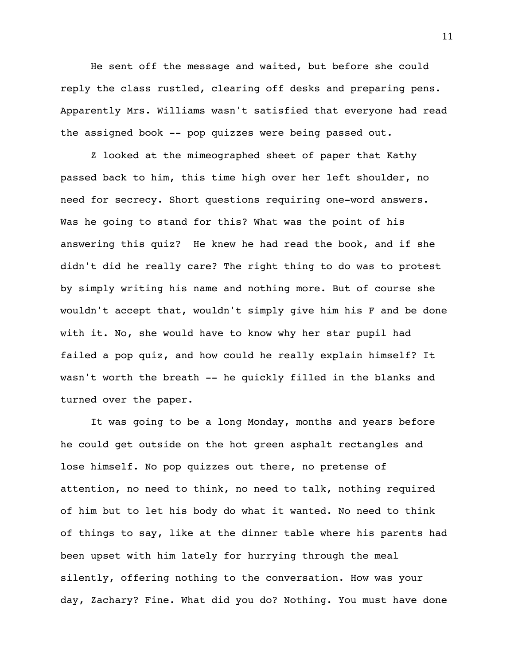He sent off the message and waited, but before she could reply the class rustled, clearing off desks and preparing pens. Apparently Mrs. Williams wasn't satisfied that everyone had read the assigned book -- pop quizzes were being passed out.

Z looked at the mimeographed sheet of paper that Kathy passed back to him, this time high over her left shoulder, no need for secrecy. Short questions requiring one-word answers. Was he going to stand for this? What was the point of his answering this quiz? He knew he had read the book, and if she didn't did he really care? The right thing to do was to protest by simply writing his name and nothing more. But of course she wouldn't accept that, wouldn't simply give him his F and be done with it. No, she would have to know why her star pupil had failed a pop quiz, and how could he really explain himself? It wasn't worth the breath -- he quickly filled in the blanks and turned over the paper.

It was going to be a long Monday, months and years before he could get outside on the hot green asphalt rectangles and lose himself. No pop quizzes out there, no pretense of attention, no need to think, no need to talk, nothing required of him but to let his body do what it wanted. No need to think of things to say, like at the dinner table where his parents had been upset with him lately for hurrying through the meal silently, offering nothing to the conversation. How was your day, Zachary? Fine. What did you do? Nothing. You must have done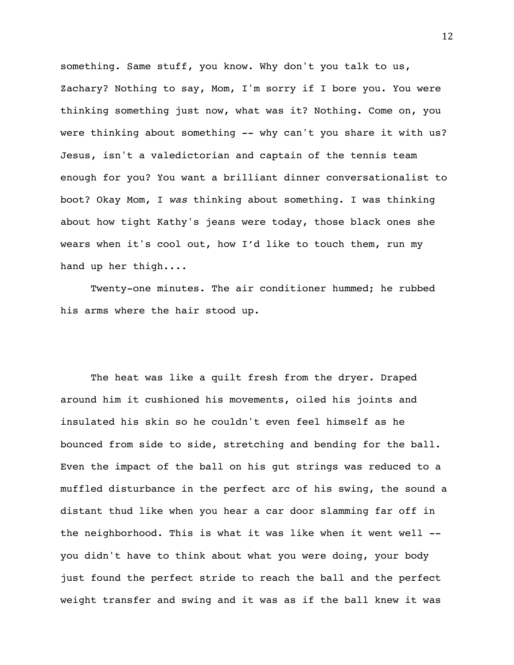something. Same stuff, you know. Why don't you talk to us, Zachary? Nothing to say, Mom, I'm sorry if I bore you. You were thinking something just now, what was it? Nothing. Come on, you were thinking about something -- why can't you share it with us? Jesus, isn't a valedictorian and captain of the tennis team enough for you? You want a brilliant dinner conversationalist to boot? Okay Mom, I *was* thinking about something. I was thinking about how tight Kathy's jeans were today, those black ones she wears when it's cool out, how I'd like to touch them, run my hand up her thigh....

Twenty-one minutes. The air conditioner hummed; he rubbed his arms where the hair stood up.

The heat was like a quilt fresh from the dryer. Draped around him it cushioned his movements, oiled his joints and insulated his skin so he couldn't even feel himself as he bounced from side to side, stretching and bending for the ball. Even the impact of the ball on his gut strings was reduced to a muffled disturbance in the perfect arc of his swing, the sound a distant thud like when you hear a car door slamming far off in the neighborhood. This is what it was like when it went well - you didn't have to think about what you were doing, your body just found the perfect stride to reach the ball and the perfect weight transfer and swing and it was as if the ball knew it was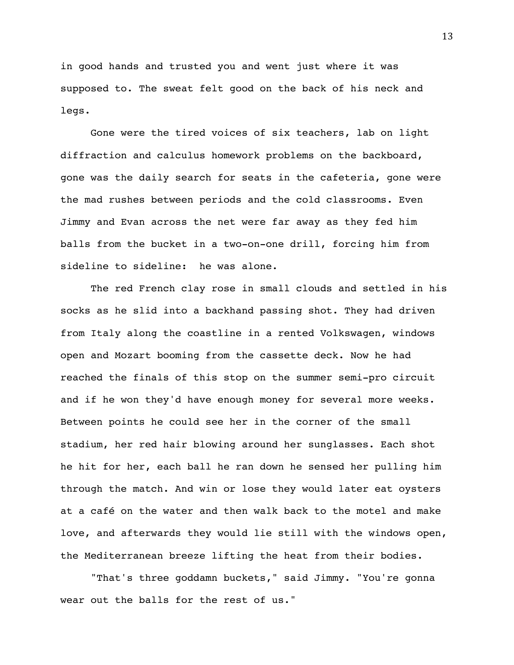in good hands and trusted you and went just where it was supposed to. The sweat felt good on the back of his neck and legs.

Gone were the tired voices of six teachers, lab on light diffraction and calculus homework problems on the backboard, gone was the daily search for seats in the cafeteria, gone were the mad rushes between periods and the cold classrooms. Even Jimmy and Evan across the net were far away as they fed him balls from the bucket in a two-on-one drill, forcing him from sideline to sideline: he was alone.

The red French clay rose in small clouds and settled in his socks as he slid into a backhand passing shot. They had driven from Italy along the coastline in a rented Volkswagen, windows open and Mozart booming from the cassette deck. Now he had reached the finals of this stop on the summer semi-pro circuit and if he won they'd have enough money for several more weeks. Between points he could see her in the corner of the small stadium, her red hair blowing around her sunglasses. Each shot he hit for her, each ball he ran down he sensed her pulling him through the match. And win or lose they would later eat oysters at a café on the water and then walk back to the motel and make love, and afterwards they would lie still with the windows open, the Mediterranean breeze lifting the heat from their bodies.

"That's three goddamn buckets," said Jimmy. "You're gonna wear out the balls for the rest of us."

13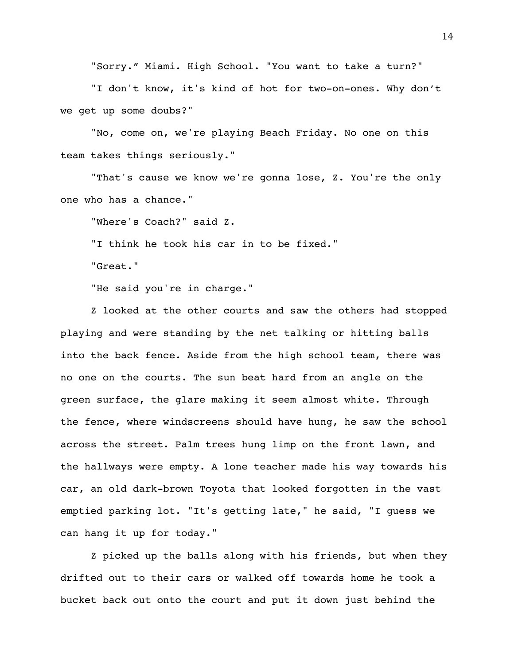"Sorry." Miami. High School. "You want to take a turn?"

"I don't know, it's kind of hot for two-on-ones. Why don't we get up some doubs?"

"No, come on, we're playing Beach Friday. No one on this team takes things seriously."

"That's cause we know we're gonna lose, Z. You're the only one who has a chance."

"Where's Coach?" said Z.

"I think he took his car in to be fixed."

"Great."

"He said you're in charge."

Z looked at the other courts and saw the others had stopped playing and were standing by the net talking or hitting balls into the back fence. Aside from the high school team, there was no one on the courts. The sun beat hard from an angle on the green surface, the glare making it seem almost white. Through the fence, where windscreens should have hung, he saw the school across the street. Palm trees hung limp on the front lawn, and the hallways were empty. A lone teacher made his way towards his car, an old dark-brown Toyota that looked forgotten in the vast emptied parking lot. "It's getting late," he said, "I guess we can hang it up for today."

Z picked up the balls along with his friends, but when they drifted out to their cars or walked off towards home he took a bucket back out onto the court and put it down just behind the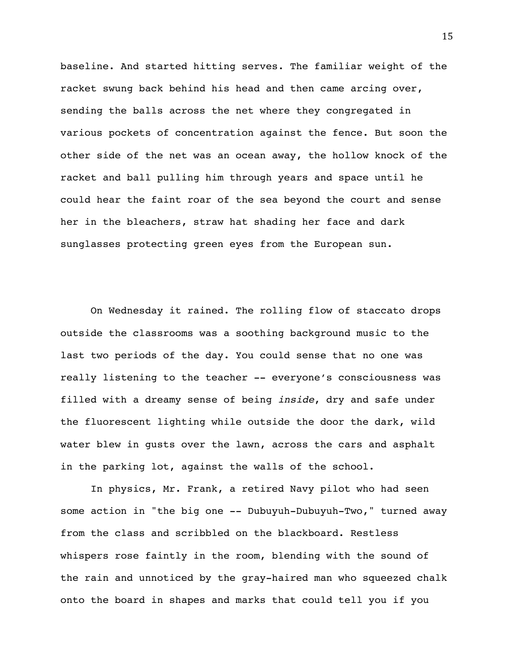baseline. And started hitting serves. The familiar weight of the racket swung back behind his head and then came arcing over, sending the balls across the net where they congregated in various pockets of concentration against the fence. But soon the other side of the net was an ocean away, the hollow knock of the racket and ball pulling him through years and space until he could hear the faint roar of the sea beyond the court and sense her in the bleachers, straw hat shading her face and dark sunglasses protecting green eyes from the European sun.

On Wednesday it rained. The rolling flow of staccato drops outside the classrooms was a soothing background music to the last two periods of the day. You could sense that no one was really listening to the teacher -- everyone's consciousness was filled with a dreamy sense of being *inside*, dry and safe under the fluorescent lighting while outside the door the dark, wild water blew in gusts over the lawn, across the cars and asphalt in the parking lot, against the walls of the school.

In physics, Mr. Frank, a retired Navy pilot who had seen some action in "the big one -- Dubuyuh-Dubuyuh-Two," turned away from the class and scribbled on the blackboard. Restless whispers rose faintly in the room, blending with the sound of the rain and unnoticed by the gray-haired man who squeezed chalk onto the board in shapes and marks that could tell you if you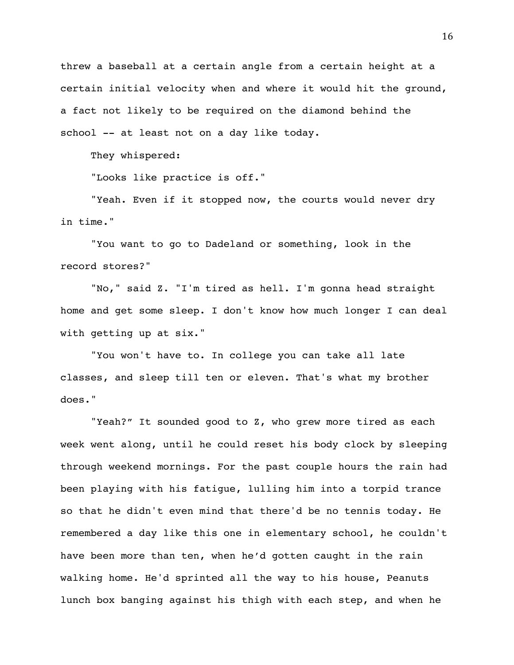threw a baseball at a certain angle from a certain height at a certain initial velocity when and where it would hit the ground, a fact not likely to be required on the diamond behind the school -- at least not on a day like today.

They whispered:

"Looks like practice is off."

"Yeah. Even if it stopped now, the courts would never dry in time."

"You want to go to Dadeland or something, look in the record stores?"

"No," said Z. "I'm tired as hell. I'm gonna head straight home and get some sleep. I don't know how much longer I can deal with getting up at six."

"You won't have to. In college you can take all late classes, and sleep till ten or eleven. That's what my brother does."

"Yeah?" It sounded good to Z, who grew more tired as each week went along, until he could reset his body clock by sleeping through weekend mornings. For the past couple hours the rain had been playing with his fatigue, lulling him into a torpid trance so that he didn't even mind that there'd be no tennis today. He remembered a day like this one in elementary school, he couldn't have been more than ten, when he'd gotten caught in the rain walking home. He'd sprinted all the way to his house, Peanuts lunch box banging against his thigh with each step, and when he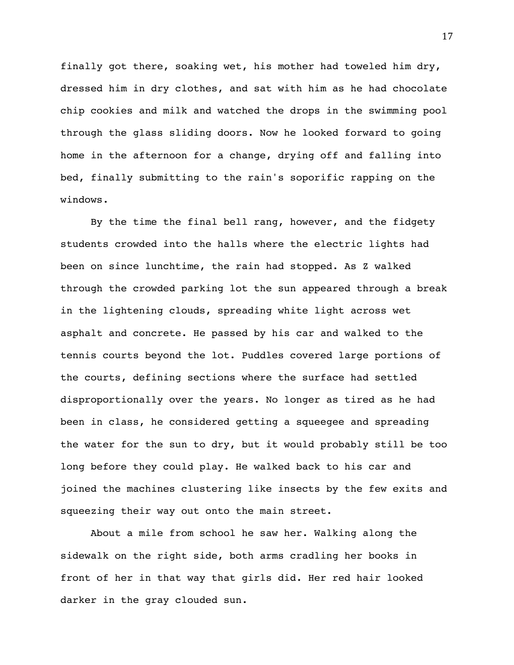finally got there, soaking wet, his mother had toweled him dry, dressed him in dry clothes, and sat with him as he had chocolate chip cookies and milk and watched the drops in the swimming pool through the glass sliding doors. Now he looked forward to going home in the afternoon for a change, drying off and falling into bed, finally submitting to the rain's soporific rapping on the windows.

By the time the final bell rang, however, and the fidgety students crowded into the halls where the electric lights had been on since lunchtime, the rain had stopped. As Z walked through the crowded parking lot the sun appeared through a break in the lightening clouds, spreading white light across wet asphalt and concrete. He passed by his car and walked to the tennis courts beyond the lot. Puddles covered large portions of the courts, defining sections where the surface had settled disproportionally over the years. No longer as tired as he had been in class, he considered getting a squeegee and spreading the water for the sun to dry, but it would probably still be too long before they could play. He walked back to his car and joined the machines clustering like insects by the few exits and squeezing their way out onto the main street.

About a mile from school he saw her. Walking along the sidewalk on the right side, both arms cradling her books in front of her in that way that girls did. Her red hair looked darker in the gray clouded sun.

17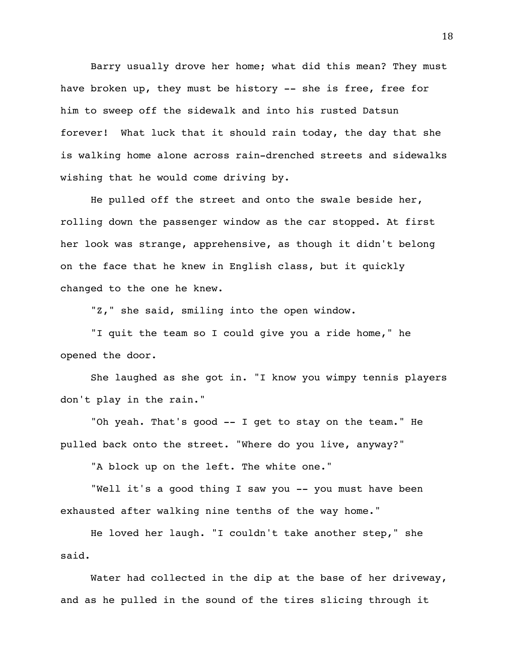Barry usually drove her home; what did this mean? They must have broken up, they must be history -- she is free, free for him to sweep off the sidewalk and into his rusted Datsun forever! What luck that it should rain today, the day that she is walking home alone across rain-drenched streets and sidewalks wishing that he would come driving by.

He pulled off the street and onto the swale beside her, rolling down the passenger window as the car stopped. At first her look was strange, apprehensive, as though it didn't belong on the face that he knew in English class, but it quickly changed to the one he knew.

"Z," she said, smiling into the open window.

"I quit the team so I could give you a ride home," he opened the door.

She laughed as she got in. "I know you wimpy tennis players don't play in the rain."

"Oh yeah. That's good -- I get to stay on the team." He pulled back onto the street. "Where do you live, anyway?"

"A block up on the left. The white one."

"Well it's a good thing I saw you -- you must have been exhausted after walking nine tenths of the way home."

He loved her laugh. "I couldn't take another step," she said.

Water had collected in the dip at the base of her driveway, and as he pulled in the sound of the tires slicing through it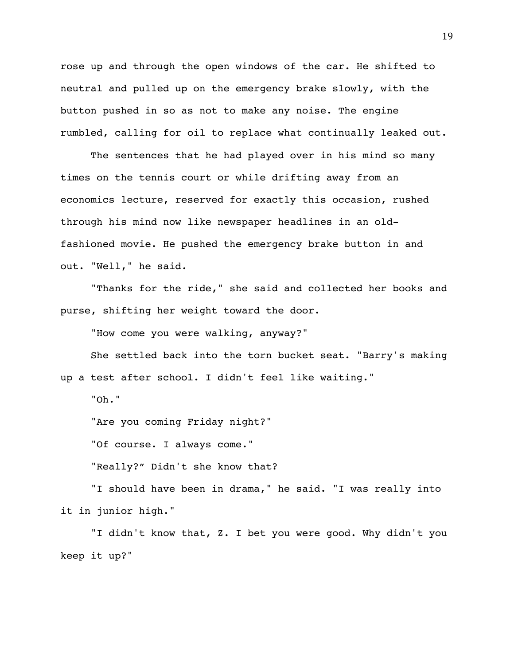rose up and through the open windows of the car. He shifted to neutral and pulled up on the emergency brake slowly, with the button pushed in so as not to make any noise. The engine rumbled, calling for oil to replace what continually leaked out.

The sentences that he had played over in his mind so many times on the tennis court or while drifting away from an economics lecture, reserved for exactly this occasion, rushed through his mind now like newspaper headlines in an oldfashioned movie. He pushed the emergency brake button in and out. "Well," he said.

"Thanks for the ride," she said and collected her books and purse, shifting her weight toward the door.

"How come you were walking, anyway?"

She settled back into the torn bucket seat. "Barry's making up a test after school. I didn't feel like waiting."

"Oh."

"Are you coming Friday night?"

"Of course. I always come."

"Really?" Didn't she know that?

"I should have been in drama," he said. "I was really into it in junior high."

"I didn't know that, Z. I bet you were good. Why didn't you keep it up?"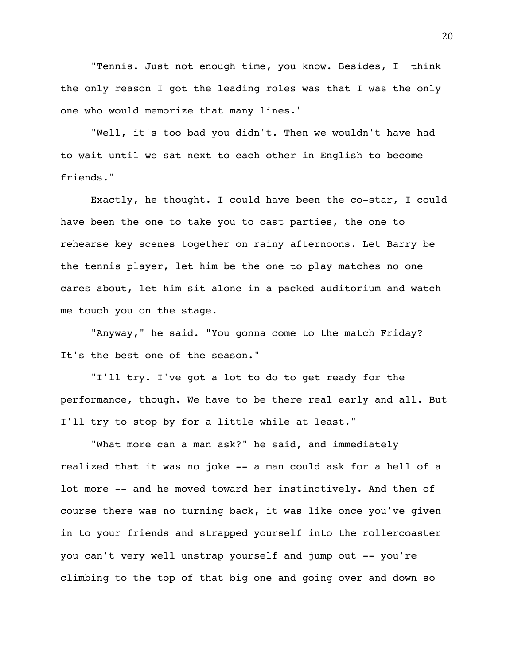"Tennis. Just not enough time, you know. Besides, I think the only reason I got the leading roles was that I was the only one who would memorize that many lines."

"Well, it's too bad you didn't. Then we wouldn't have had to wait until we sat next to each other in English to become friends."

Exactly, he thought. I could have been the co-star, I could have been the one to take you to cast parties, the one to rehearse key scenes together on rainy afternoons. Let Barry be the tennis player, let him be the one to play matches no one cares about, let him sit alone in a packed auditorium and watch me touch you on the stage.

"Anyway," he said. "You gonna come to the match Friday? It's the best one of the season."

"I'll try. I've got a lot to do to get ready for the performance, though. We have to be there real early and all. But I'll try to stop by for a little while at least."

"What more can a man ask?" he said, and immediately realized that it was no joke -- a man could ask for a hell of a lot more -- and he moved toward her instinctively. And then of course there was no turning back, it was like once you've given in to your friends and strapped yourself into the rollercoaster you can't very well unstrap yourself and jump out -- you're climbing to the top of that big one and going over and down so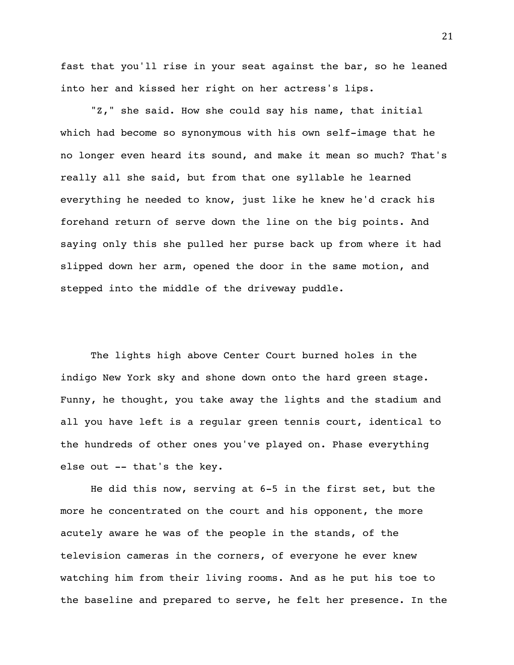fast that you'll rise in your seat against the bar, so he leaned into her and kissed her right on her actress's lips.

"Z," she said. How she could say his name, that initial which had become so synonymous with his own self-image that he no longer even heard its sound, and make it mean so much? That's really all she said, but from that one syllable he learned everything he needed to know, just like he knew he'd crack his forehand return of serve down the line on the big points. And saying only this she pulled her purse back up from where it had slipped down her arm, opened the door in the same motion, and stepped into the middle of the driveway puddle.

The lights high above Center Court burned holes in the indigo New York sky and shone down onto the hard green stage. Funny, he thought, you take away the lights and the stadium and all you have left is a regular green tennis court, identical to the hundreds of other ones you've played on. Phase everything else out -- that's the key.

He did this now, serving at 6-5 in the first set, but the more he concentrated on the court and his opponent, the more acutely aware he was of the people in the stands, of the television cameras in the corners, of everyone he ever knew watching him from their living rooms. And as he put his toe to the baseline and prepared to serve, he felt her presence. In the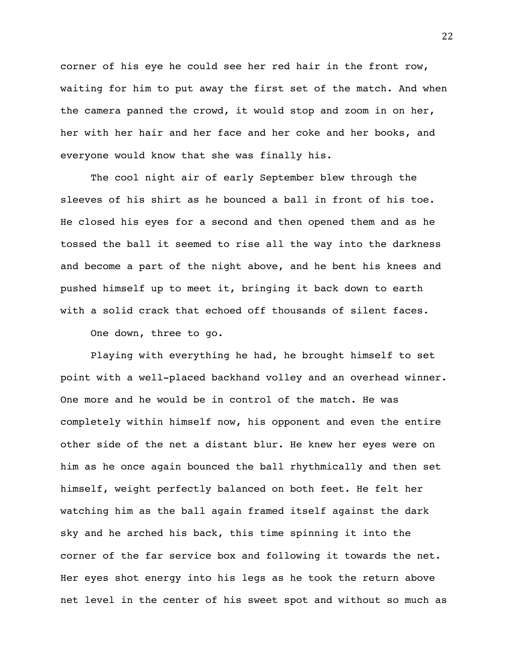corner of his eye he could see her red hair in the front row, waiting for him to put away the first set of the match. And when the camera panned the crowd, it would stop and zoom in on her, her with her hair and her face and her coke and her books, and everyone would know that she was finally his.

The cool night air of early September blew through the sleeves of his shirt as he bounced a ball in front of his toe. He closed his eyes for a second and then opened them and as he tossed the ball it seemed to rise all the way into the darkness and become a part of the night above, and he bent his knees and pushed himself up to meet it, bringing it back down to earth with a solid crack that echoed off thousands of silent faces.

One down, three to go.

Playing with everything he had, he brought himself to set point with a well-placed backhand volley and an overhead winner. One more and he would be in control of the match. He was completely within himself now, his opponent and even the entire other side of the net a distant blur. He knew her eyes were on him as he once again bounced the ball rhythmically and then set himself, weight perfectly balanced on both feet. He felt her watching him as the ball again framed itself against the dark sky and he arched his back, this time spinning it into the corner of the far service box and following it towards the net. Her eyes shot energy into his legs as he took the return above net level in the center of his sweet spot and without so much as